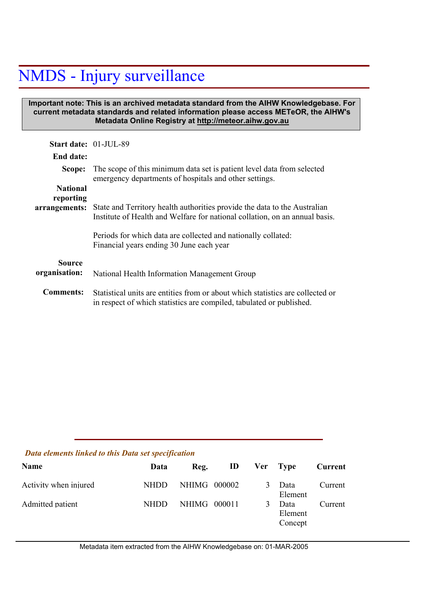## NMDS - Injury surveillance

## **Important note: This is an archived metadata standard from the AIHW Knowledgebase. For current metadata standards and related information please access METeOR, the AIHW's Metadata Online Registry at http://meteor.aihw.gov.au**

| Start date: 01-JUL-89          |                                                                                                                                                          |
|--------------------------------|----------------------------------------------------------------------------------------------------------------------------------------------------------|
| End date:                      |                                                                                                                                                          |
| Scope:                         | The scope of this minimum data set is patient level data from selected<br>emergency departments of hospitals and other settings.                         |
| <b>National</b><br>reporting   |                                                                                                                                                          |
| arrangements:                  | State and Territory health authorities provide the data to the Australian<br>Institute of Health and Welfare for national collation, on an annual basis. |
|                                | Periods for which data are collected and nationally collated:<br>Financial years ending 30 June each year                                                |
| <b>Source</b><br>organisation: | National Health Information Management Group                                                                                                             |
| <b>Comments:</b>               | Statistical units are entities from or about which statistics are collected or<br>in respect of which statistics are compiled, tabulated or published.   |

## *Data elements linked to this Data set specification*

| Name                  | Data        | Reg.         | ID | Ver Type |                            | Current |
|-----------------------|-------------|--------------|----|----------|----------------------------|---------|
| Activity when injured | <b>NHDD</b> | NHIMG 000002 |    | 3        | Data<br>Element            | Current |
| Admitted patient      | <b>NHDD</b> | NHIMG 000011 |    | 3        | Data<br>Element<br>Concept | Current |